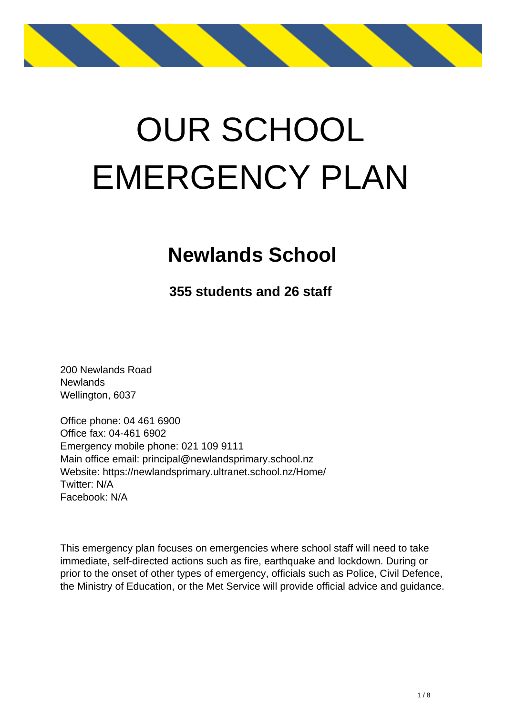

# OUR SCHOOL EMERGENCY PLAN

### **Newlands School**

**355 students and 26 staff**

200 Newlands Road **Newlands** Wellington, 6037

Office phone: 04 461 6900 Office fax: 04-461 6902 Emergency mobile phone: 021 109 9111 Main office email: principal@newlandsprimary.school.nz Website: https://newlandsprimary.ultranet.school.nz/Home/ Twitter: N/A Facebook: N/A

This emergency plan focuses on emergencies where school staff will need to take immediate, self-directed actions such as fire, earthquake and lockdown. During or prior to the onset of other types of emergency, officials such as Police, Civil Defence, the Ministry of Education, or the Met Service will provide official advice and guidance.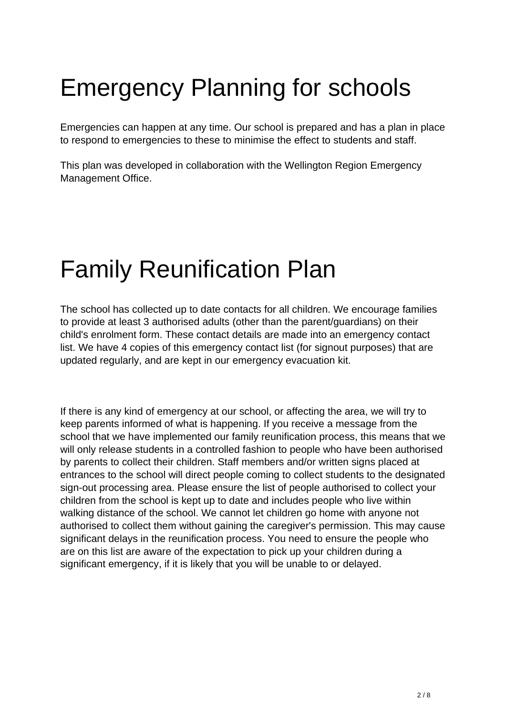## Emergency Planning for schools

Emergencies can happen at any time. Our school is prepared and has a plan in place to respond to emergencies to these to minimise the effect to students and staff.

This plan was developed in collaboration with the Wellington Region Emergency Management Office.

### Family Reunification Plan

The school has collected up to date contacts for all children. We encourage families to provide at least 3 authorised adults (other than the parent/guardians) on their child's enrolment form. These contact details are made into an emergency contact list. We have 4 copies of this emergency contact list (for signout purposes) that are updated regularly, and are kept in our emergency evacuation kit.

If there is any kind of emergency at our school, or affecting the area, we will try to keep parents informed of what is happening. If you receive a message from the school that we have implemented our family reunification process, this means that we will only release students in a controlled fashion to people who have been authorised by parents to collect their children. Staff members and/or written signs placed at entrances to the school will direct people coming to collect students to the designated sign-out processing area. Please ensure the list of people authorised to collect your children from the school is kept up to date and includes people who live within walking distance of the school. We cannot let children go home with anyone not authorised to collect them without gaining the caregiver's permission. This may cause significant delays in the reunification process. You need to ensure the people who are on this list are aware of the expectation to pick up your children during a significant emergency, if it is likely that you will be unable to or delayed.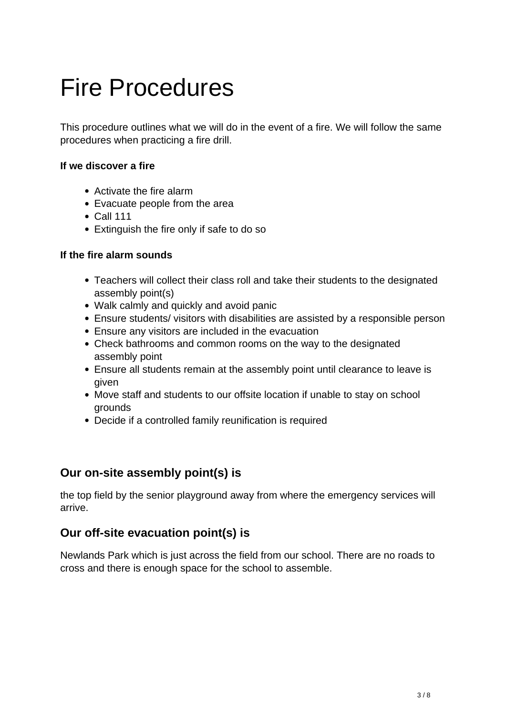### Fire Procedures

This procedure outlines what we will do in the event of a fire. We will follow the same procedures when practicing a fire drill.

#### **If we discover a fire**

- Activate the fire alarm
- Evacuate people from the area
- Call 111
- Extinguish the fire only if safe to do so

#### **If the fire alarm sounds**

- Teachers will collect their class roll and take their students to the designated assembly point(s)
- Walk calmly and quickly and avoid panic
- Ensure students/ visitors with disabilities are assisted by a responsible person
- Ensure any visitors are included in the evacuation
- Check bathrooms and common rooms on the way to the designated assembly point
- Ensure all students remain at the assembly point until clearance to leave is given
- Move staff and students to our offsite location if unable to stay on school grounds
- Decide if a controlled family reunification is required

#### **Our on-site assembly point(s) is**

the top field by the senior playground away from where the emergency services will arrive.

#### **Our off-site evacuation point(s) is**

Newlands Park which is just across the field from our school. There are no roads to cross and there is enough space for the school to assemble.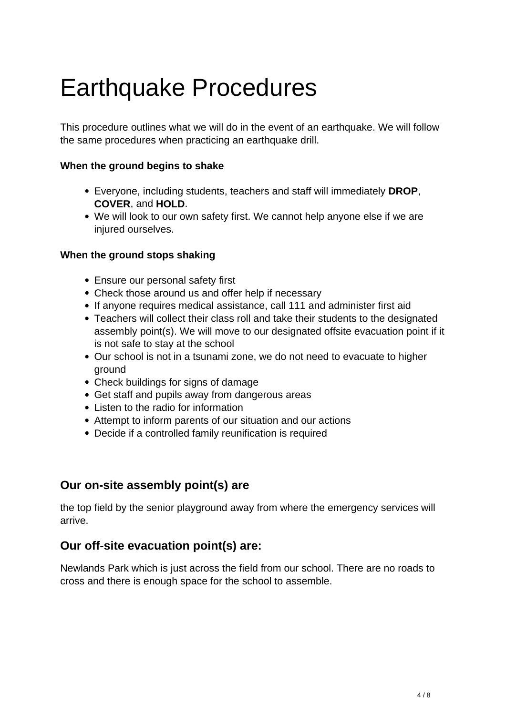### Earthquake Procedures

This procedure outlines what we will do in the event of an earthquake. We will follow the same procedures when practicing an earthquake drill.

#### **When the ground begins to shake**

- Everyone, including students, teachers and staff will immediately **DROP**, **COVER**, and **HOLD**.
- We will look to our own safety first. We cannot help anyone else if we are injured ourselves.

#### **When the ground stops shaking**

- Ensure our personal safety first
- Check those around us and offer help if necessary
- If anyone requires medical assistance, call 111 and administer first aid
- Teachers will collect their class roll and take their students to the designated assembly point(s). We will move to our designated offsite evacuation point if it is not safe to stay at the school
- Our school is not in a tsunami zone, we do not need to evacuate to higher ground
- Check buildings for signs of damage
- Get staff and pupils away from dangerous areas
- Listen to the radio for information
- Attempt to inform parents of our situation and our actions
- Decide if a controlled family reunification is required

#### **Our on-site assembly point(s) are**

the top field by the senior playground away from where the emergency services will arrive.

#### **Our off-site evacuation point(s) are:**

Newlands Park which is just across the field from our school. There are no roads to cross and there is enough space for the school to assemble.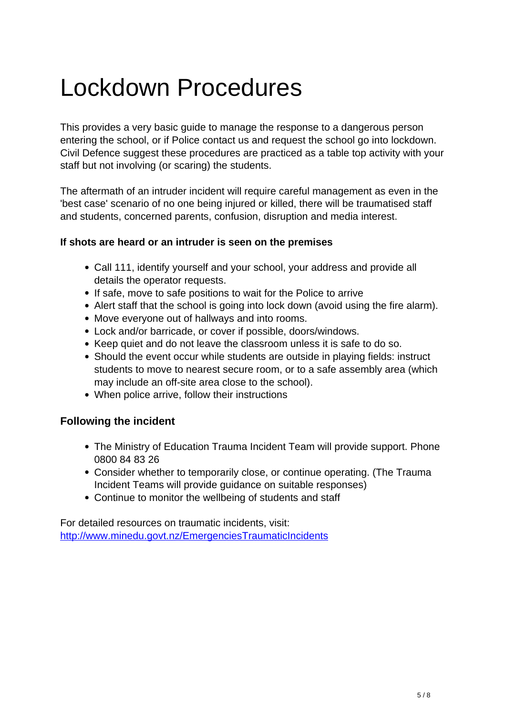### Lockdown Procedures

This provides a very basic guide to manage the response to a dangerous person entering the school, or if Police contact us and request the school go into lockdown. Civil Defence suggest these procedures are practiced as a table top activity with your staff but not involving (or scaring) the students.

The aftermath of an intruder incident will require careful management as even in the 'best case' scenario of no one being injured or killed, there will be traumatised staff and students, concerned parents, confusion, disruption and media interest.

#### **If shots are heard or an intruder is seen on the premises**

- Call 111, identify yourself and your school, your address and provide all details the operator requests.
- If safe, move to safe positions to wait for the Police to arrive
- Alert staff that the school is going into lock down (avoid using the fire alarm).
- Move everyone out of hallways and into rooms.
- Lock and/or barricade, or cover if possible, doors/windows.
- Keep quiet and do not leave the classroom unless it is safe to do so.
- Should the event occur while students are outside in playing fields: instruct students to move to nearest secure room, or to a safe assembly area (which may include an off-site area close to the school).
- When police arrive, follow their instructions

#### **Following the incident**

- The Ministry of Education Trauma Incident Team will provide support. Phone 0800 84 83 26
- Consider whether to temporarily close, or continue operating. (The Trauma Incident Teams will provide guidance on suitable responses)
- Continue to monitor the wellbeing of students and staff

For detailed resources on traumatic incidents, visit: http://www.minedu.govt.nz/EmergenciesTraumaticIncidents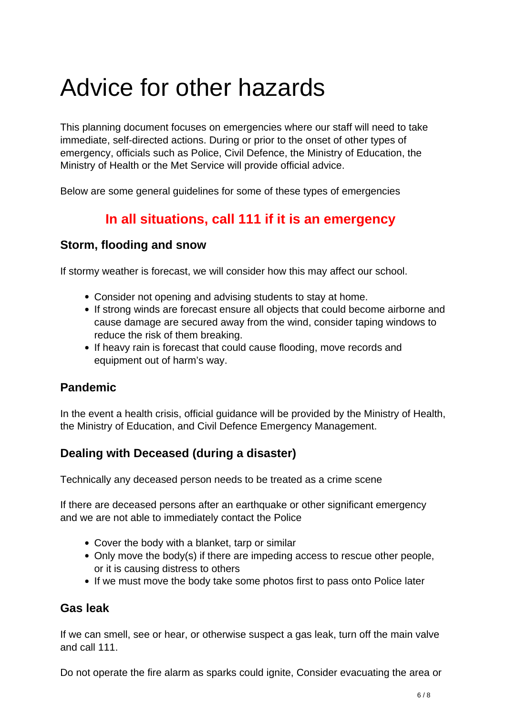### Advice for other hazards

This planning document focuses on emergencies where our staff will need to take immediate, self-directed actions. During or prior to the onset of other types of emergency, officials such as Police, Civil Defence, the Ministry of Education, the Ministry of Health or the Met Service will provide official advice.

Below are some general guidelines for some of these types of emergencies

#### **In all situations, call 111 if it is an emergency**

#### **Storm, flooding and snow**

If stormy weather is forecast, we will consider how this may affect our school.

- Consider not opening and advising students to stay at home.
- If strong winds are forecast ensure all objects that could become airborne and cause damage are secured away from the wind, consider taping windows to reduce the risk of them breaking.
- If heavy rain is forecast that could cause flooding, move records and equipment out of harm's way.

#### **Pandemic**

In the event a health crisis, official guidance will be provided by the Ministry of Health, the Ministry of Education, and Civil Defence Emergency Management.

#### **Dealing with Deceased (during a disaster)**

Technically any deceased person needs to be treated as a crime scene

If there are deceased persons after an earthquake or other significant emergency and we are not able to immediately contact the Police

- Cover the body with a blanket, tarp or similar
- Only move the body(s) if there are impeding access to rescue other people, or it is causing distress to others
- If we must move the body take some photos first to pass onto Police later

#### **Gas leak**

If we can smell, see or hear, or otherwise suspect a gas leak, turn off the main valve and call 111.

Do not operate the fire alarm as sparks could ignite, Consider evacuating the area or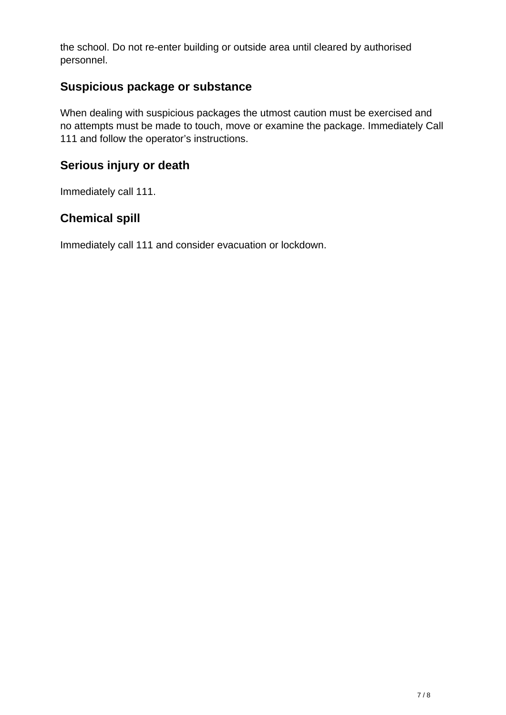the school. Do not re-enter building or outside area until cleared by authorised personnel.

#### **Suspicious package or substance**

When dealing with suspicious packages the utmost caution must be exercised and no attempts must be made to touch, move or examine the package. Immediately Call 111 and follow the operator's instructions.

#### **Serious injury or death**

Immediately call 111.

#### **Chemical spill**

Immediately call 111 and consider evacuation or lockdown.